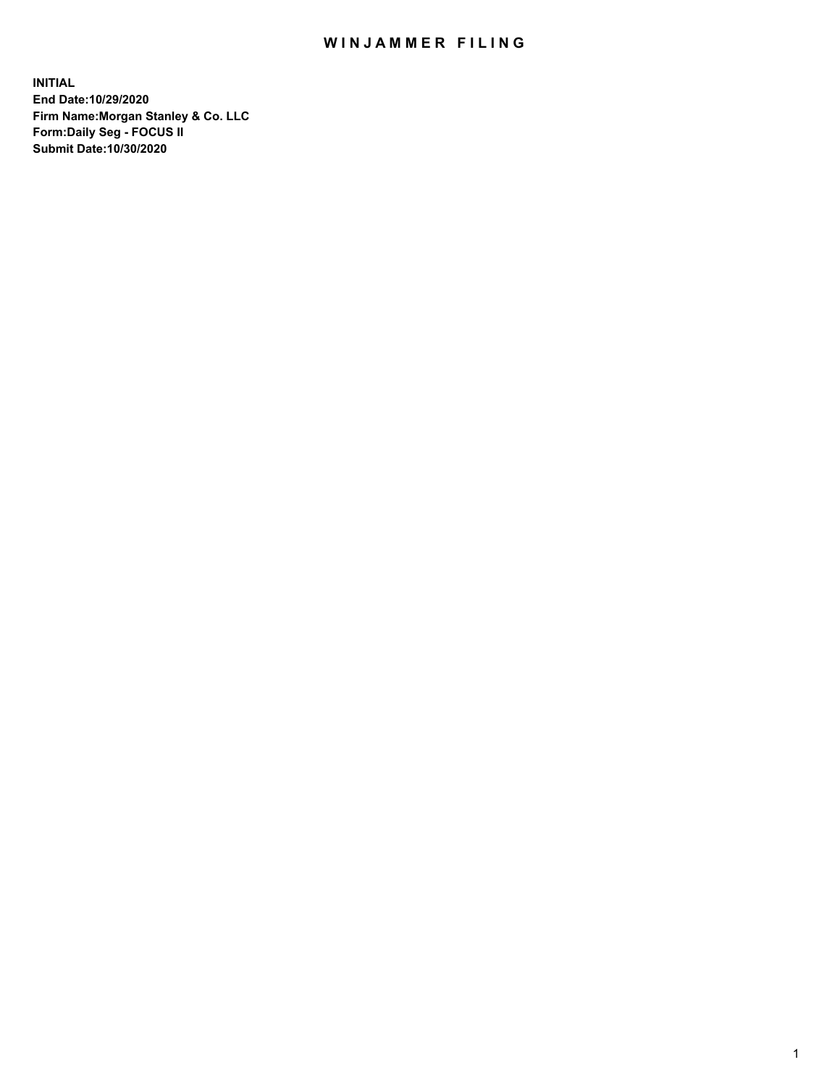## WIN JAMMER FILING

**INITIAL End Date:10/29/2020 Firm Name:Morgan Stanley & Co. LLC Form:Daily Seg - FOCUS II Submit Date:10/30/2020**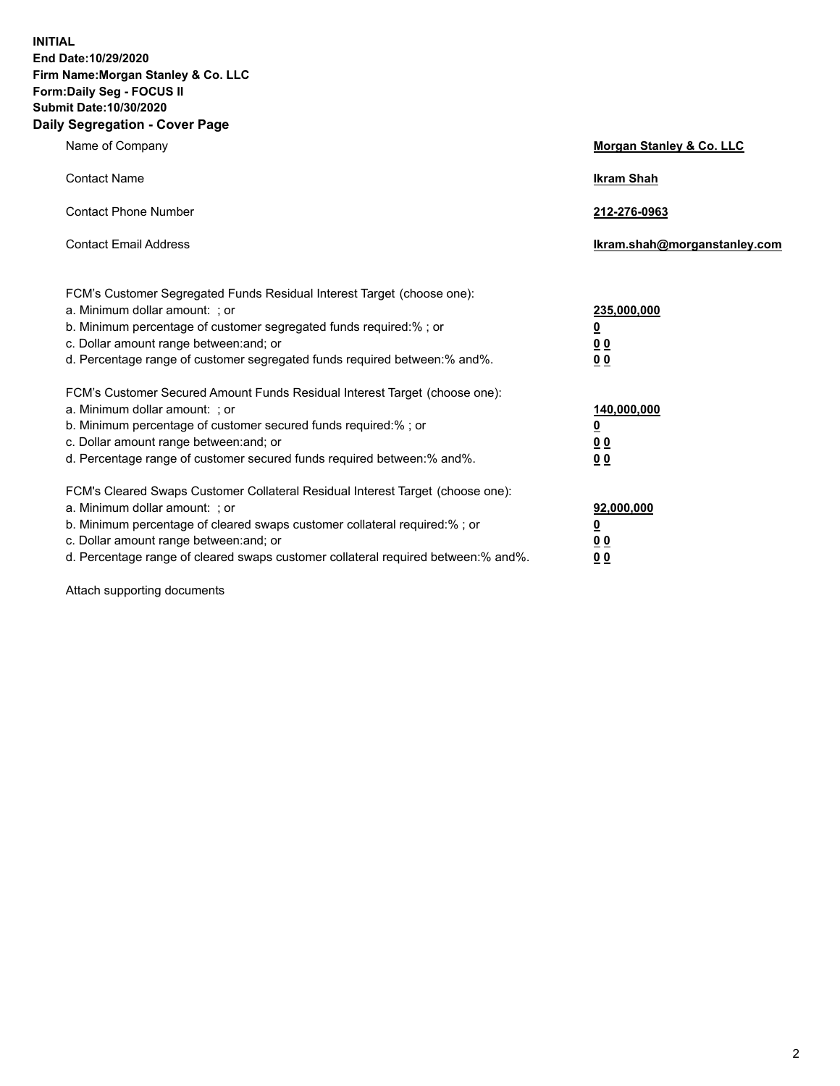**INITIAL End Date:10/29/2020 Firm Name:Morgan Stanley & Co. LLC Form:Daily Seg - FOCUS II Submit Date:10/30/2020 Daily Segregation - Cover Page**

| Name of Company                                                                                                                                                                                                                                                                                                                | Morgan Stanley & Co. LLC                               |
|--------------------------------------------------------------------------------------------------------------------------------------------------------------------------------------------------------------------------------------------------------------------------------------------------------------------------------|--------------------------------------------------------|
| <b>Contact Name</b>                                                                                                                                                                                                                                                                                                            | <b>Ikram Shah</b>                                      |
| <b>Contact Phone Number</b>                                                                                                                                                                                                                                                                                                    | 212-276-0963                                           |
| <b>Contact Email Address</b>                                                                                                                                                                                                                                                                                                   | Ikram.shah@morganstanley.com                           |
| FCM's Customer Segregated Funds Residual Interest Target (choose one):<br>a. Minimum dollar amount: ; or<br>b. Minimum percentage of customer segregated funds required:% ; or<br>c. Dollar amount range between: and; or<br>d. Percentage range of customer segregated funds required between: % and %.                       | 235,000,000<br><u>0</u><br>00<br>0 <sub>0</sub>        |
| FCM's Customer Secured Amount Funds Residual Interest Target (choose one):<br>a. Minimum dollar amount: ; or<br>b. Minimum percentage of customer secured funds required:%; or<br>c. Dollar amount range between: and; or<br>d. Percentage range of customer secured funds required between:% and%.                            | 140,000,000<br><u>0</u><br><u>00</u><br>0 <sub>0</sub> |
| FCM's Cleared Swaps Customer Collateral Residual Interest Target (choose one):<br>a. Minimum dollar amount: ; or<br>b. Minimum percentage of cleared swaps customer collateral required:% ; or<br>c. Dollar amount range between: and; or<br>d. Percentage range of cleared swaps customer collateral required between:% and%. | 92,000,000<br><u>0</u><br><u>00</u><br>0 <sub>0</sub>  |

Attach supporting documents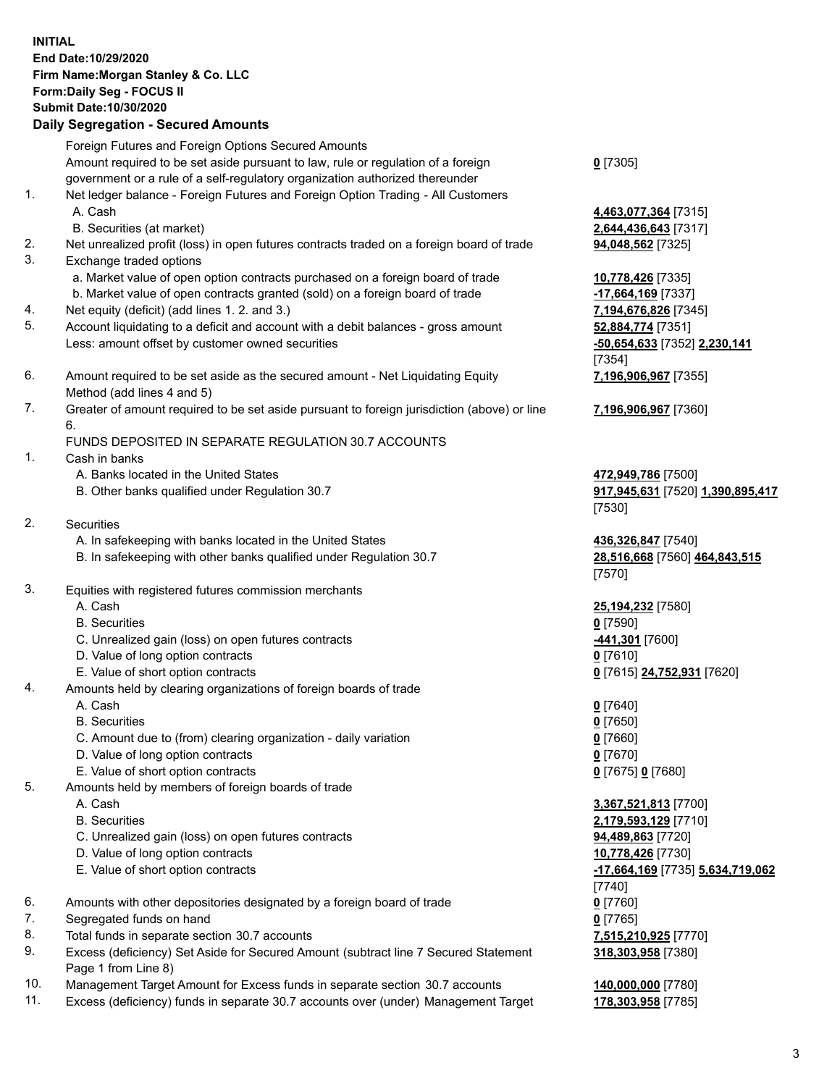## **INITIAL End Date:10/29/2020 Firm Name:Morgan Stanley & Co. LLC Form:Daily Seg - FOCUS II Submit Date:10/30/2020 Daily Segregation - Secured Amounts** Foreign Futures and Foreign Options Secured Amounts Amount required to be set aside pursuant to law, rule or regulation of a foreign government or a rule of a self-regulatory organization authorized thereunder

- 1. Net ledger balance Foreign Futures and Foreign Option Trading All Customers A. Cash **4,463,077,364** [7315] B. Securities (at market) **2,644,436,643** [7317] 2. Net unrealized profit (loss) in open futures contracts traded on a foreign board of trade **94,048,562** [7325] 3. Exchange traded options a. Market value of open option contracts purchased on a foreign board of trade **10,778,426** [7335] b. Market value of open contracts granted (sold) on a foreign board of trade **-17,664,169** [7337] 4. Net equity (deficit) (add lines 1. 2. and 3.) **7,194,676,826** [7345] 5. Account liquidating to a deficit and account with a debit balances - gross amount **52,884,774** [7351] Less: amount offset by customer owned securities **-50,654,633** [7352] **2,230,141** 6. Amount required to be set aside as the secured amount - Net Liquidating Equity Method (add lines 4 and 5) 7. Greater of amount required to be set aside pursuant to foreign jurisdiction (above) or line 6. FUNDS DEPOSITED IN SEPARATE REGULATION 30.7 ACCOUNTS 1. Cash in banks A. Banks located in the United States **472,949,786** [7500]
	- B. Other banks qualified under Regulation 30.7 **917,945,631** [7520] **1,390,895,417**
- 2. Securities
	- A. In safekeeping with banks located in the United States **436,326,847** [7540]
	- B. In safekeeping with other banks qualified under Regulation 30.7 **28,516,668** [7560] **464,843,515**
- 3. Equities with registered futures commission merchants
	-
	- B. Securities **0** [7590]
	- C. Unrealized gain (loss) on open futures contracts **-441,301** [7600]
	- D. Value of long option contracts **0** [7610]
	- E. Value of short option contracts **0** [7615] **24,752,931** [7620]
- 4. Amounts held by clearing organizations of foreign boards of trade
	-
	- B. Securities **0** [7650]
	- C. Amount due to (from) clearing organization daily variation **0** [7660]
	- D. Value of long option contracts **0** [7670]
	- E. Value of short option contracts **0** [7675] **0** [7680]
- 5. Amounts held by members of foreign boards of trade
	-
	-
	- C. Unrealized gain (loss) on open futures contracts **94,489,863** [7720]
	- D. Value of long option contracts **10,778,426** [7730]
	-
- 6. Amounts with other depositories designated by a foreign board of trade **0** [7760]
- 7. Segregated funds on hand **0** [7765]
- 8. Total funds in separate section 30.7 accounts **7,515,210,925** [7770]
- 9. Excess (deficiency) Set Aside for Secured Amount (subtract line 7 Secured Statement Page 1 from Line 8)
- 10. Management Target Amount for Excess funds in separate section 30.7 accounts **140,000,000** [7780]
- 11. Excess (deficiency) funds in separate 30.7 accounts over (under) Management Target **178,303,958** [7785]

**0** [7305]

[7354] **7,196,906,967** [7355]

**7,196,906,967** [7360]

[7530]

[7570]

A. Cash **25,194,232** [7580]

A. Cash **0** [7640]

 A. Cash **3,367,521,813** [7700] B. Securities **2,179,593,129** [7710] E. Value of short option contracts **-17,664,169** [7735] **5,634,719,062** [7740] **318,303,958** [7380]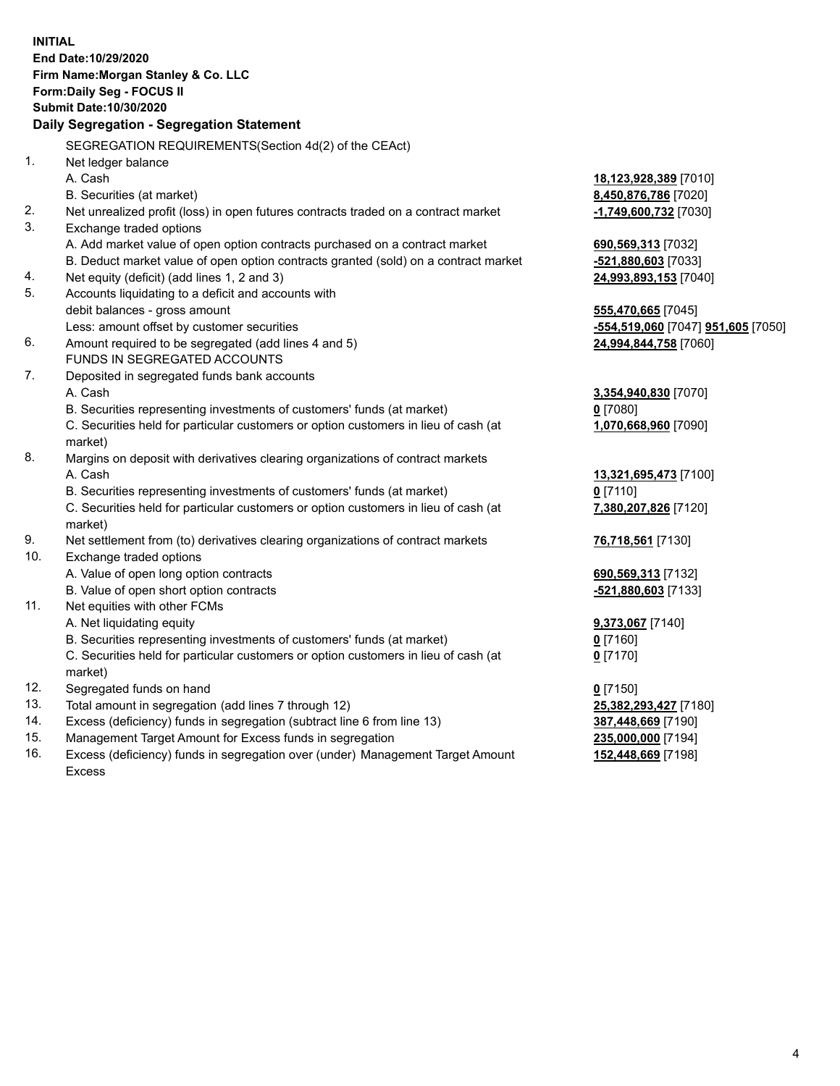|     | <b>INITIAL</b>                                                                      |                                    |
|-----|-------------------------------------------------------------------------------------|------------------------------------|
|     | End Date:10/29/2020                                                                 |                                    |
|     | Firm Name: Morgan Stanley & Co. LLC                                                 |                                    |
|     | Form: Daily Seg - FOCUS II                                                          |                                    |
|     | Submit Date: 10/30/2020                                                             |                                    |
|     | Daily Segregation - Segregation Statement                                           |                                    |
|     |                                                                                     |                                    |
|     | SEGREGATION REQUIREMENTS(Section 4d(2) of the CEAct)                                |                                    |
| 1.  | Net ledger balance                                                                  |                                    |
|     | A. Cash                                                                             | 18,123,928,389 [7010]              |
|     | B. Securities (at market)                                                           | 8,450,876,786 [7020]               |
| 2.  | Net unrealized profit (loss) in open futures contracts traded on a contract market  | -1,749,600,732 [7030]              |
| 3.  | Exchange traded options                                                             |                                    |
|     | A. Add market value of open option contracts purchased on a contract market         | 690,569,313 [7032]                 |
|     | B. Deduct market value of open option contracts granted (sold) on a contract market | -521,880,603 [7033]                |
| 4.  | Net equity (deficit) (add lines 1, 2 and 3)                                         | 24,993,893,153 [7040]              |
| 5.  | Accounts liquidating to a deficit and accounts with                                 |                                    |
|     | debit balances - gross amount                                                       | 555,470,665 [7045]                 |
|     | Less: amount offset by customer securities                                          | -554,519,060 [7047] 951,605 [7050] |
| 6.  | Amount required to be segregated (add lines 4 and 5)                                | 24,994,844,758 [7060]              |
|     | FUNDS IN SEGREGATED ACCOUNTS                                                        |                                    |
| 7.  | Deposited in segregated funds bank accounts                                         |                                    |
|     | A. Cash                                                                             | 3,354,940,830 [7070]               |
|     | B. Securities representing investments of customers' funds (at market)              | $0$ [7080]                         |
|     | C. Securities held for particular customers or option customers in lieu of cash (at | 1,070,668,960 [7090]               |
|     | market)                                                                             |                                    |
| 8.  | Margins on deposit with derivatives clearing organizations of contract markets      |                                    |
|     | A. Cash                                                                             | 13,321,695,473 [7100]              |
|     | B. Securities representing investments of customers' funds (at market)              | $0$ [7110]                         |
|     | C. Securities held for particular customers or option customers in lieu of cash (at | 7,380,207,826 [7120]               |
|     | market)                                                                             |                                    |
| 9.  | Net settlement from (to) derivatives clearing organizations of contract markets     | 76,718,561 [7130]                  |
| 10. | Exchange traded options                                                             |                                    |
|     | A. Value of open long option contracts                                              | 690,569,313 [7132]                 |
|     | B. Value of open short option contracts                                             | -521,880,603 [7133]                |
| 11. | Net equities with other FCMs                                                        |                                    |
|     | A. Net liquidating equity                                                           | 9,373,067 [7140]                   |
|     | B. Securities representing investments of customers' funds (at market)              | $0$ [7160]                         |
|     | C. Securities held for particular customers or option customers in lieu of cash (at | $0$ [7170]                         |
|     | market)                                                                             |                                    |
| 12. | Segregated funds on hand                                                            | $0$ [7150]                         |
| 13. | Total amount in segregation (add lines 7 through 12)                                | 25,382,293,427 [7180]              |
| 14. | Excess (deficiency) funds in segregation (subtract line 6 from line 13)             | 387,448,669 [7190]                 |
| 15. | Management Target Amount for Excess funds in segregation                            | 235,000,000 [7194]                 |
| 16. | Excess (deficiency) funds in segregation over (under) Management Target Amount      | 152,448,669 [7198]                 |

Excess